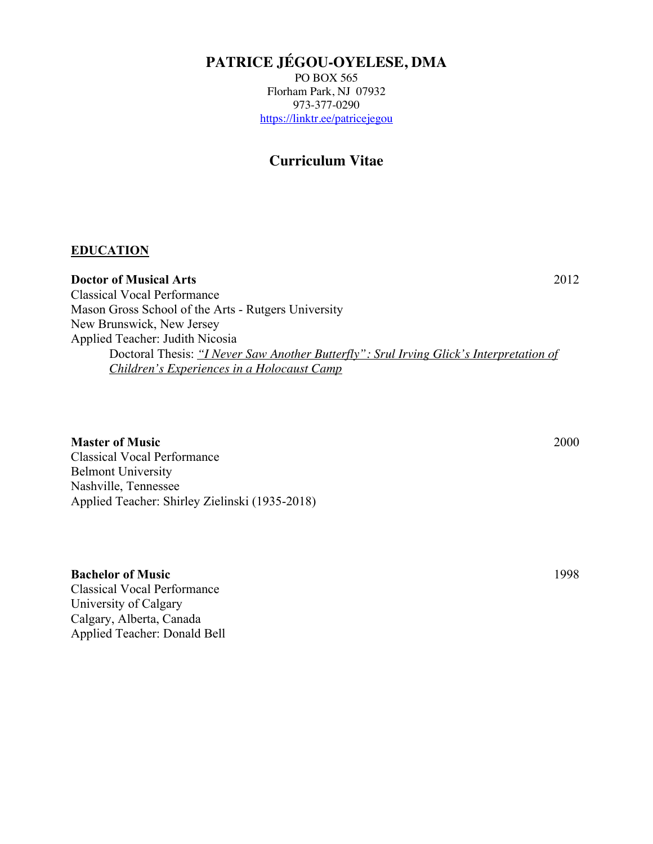# **PATRICE JÉGOU-OYELESE, DMA**

PO BOX 565 Florham Park, NJ 07932 973-377-0290 https://linktr.ee/patricejegou

### **Curriculum Vitae**

### **EDUCATION**

**Doctor of Musical Arts** 2012 Classical Vocal Performance Mason Gross School of the Arts - Rutgers University New Brunswick, New Jersey Applied Teacher: Judith Nicosia Doctoral Thesis: *"I Never Saw Another Butterfly": Srul Irving Glick's Interpretation of Children's Experiences in a Holocaust Camp*

### **Master of Music** 2000

Classical Vocal Performance Belmont University Nashville, Tennessee Applied Teacher: Shirley Zielinski (1935-2018)

### **Bachelor of Music** 1998

Classical Vocal Performance University of Calgary Calgary, Alberta, Canada Applied Teacher: Donald Bell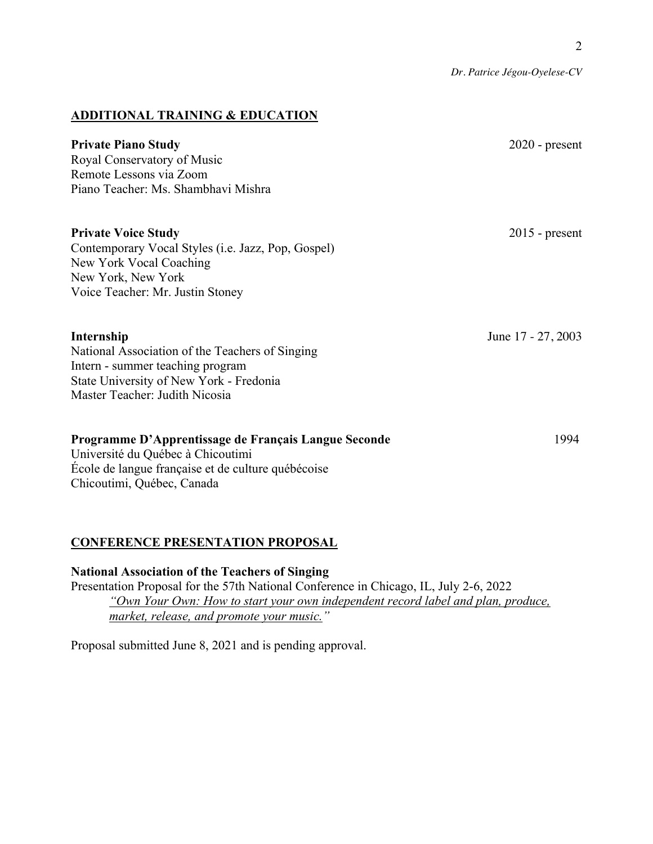*Dr. Patrice Jégou-Oyelese-CV*

### **ADDITIONAL TRAINING & EDUCATION**

| <b>Private Piano Study</b><br>Royal Conservatory of Music<br>Remote Lessons via Zoom<br>Piano Teacher: Ms. Shambhavi Mishra                                                    | $2020$ - present   |
|--------------------------------------------------------------------------------------------------------------------------------------------------------------------------------|--------------------|
| <b>Private Voice Study</b><br>Contemporary Vocal Styles (i.e. Jazz, Pop, Gospel)<br>New York Vocal Coaching<br>New York, New York<br>Voice Teacher: Mr. Justin Stoney          | $2015$ - present   |
| Internship<br>National Association of the Teachers of Singing<br>Intern - summer teaching program<br>State University of New York - Fredonia<br>Master Teacher: Judith Nicosia | June 17 - 27, 2003 |
| Programme D'Apprentissage de Français Langue Seconde<br>Université du Québec à Chicoutimi<br>École de langue française et de culture québécoise<br>Chicoutimi, Québec, Canada  | 1994               |

# **CONFERENCE PRESENTATION PROPOSAL**

**National Association of the Teachers of Singing**  Presentation Proposal for the 57th National Conference in Chicago, IL, July 2-6, 2022 *"Own Your Own: How to start your own independent record label and plan, produce, market, release, and promote your music."*

Proposal submitted June 8, 2021 and is pending approval.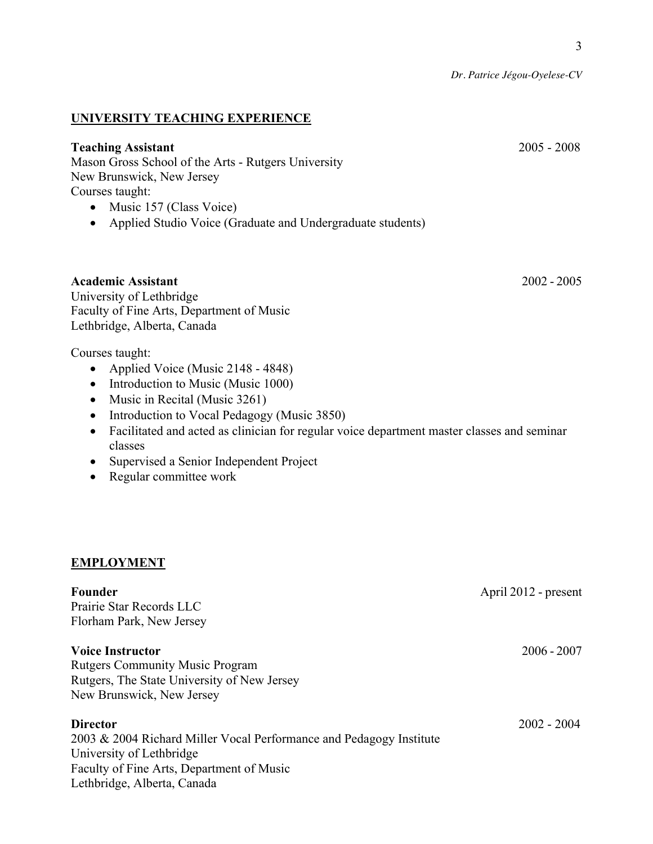*Dr. Patrice Jégou-Oyelese-CV*

### **UNIVERSITY TEACHING EXPERIENCE**

### **Teaching Assistant** 2005 - 2008

Mason Gross School of the Arts - Rutgers University New Brunswick, New Jersey Courses taught:

- Music 157 (Class Voice)
- Applied Studio Voice (Graduate and Undergraduate students)

### **Academic Assistant** 2002 - 2005

University of Lethbridge Faculty of Fine Arts, Department of Music Lethbridge, Alberta, Canada

Courses taught:

- Applied Voice (Music 2148 4848)
- Introduction to Music (Music 1000)
- Music in Recital (Music 3261)
- Introduction to Vocal Pedagogy (Music 3850)
- Facilitated and acted as clinician for regular voice department master classes and seminar classes
- Supervised a Senior Independent Project
- Regular committee work

### **EMPLOYMENT**

# **Founder April 2012** - present Prairie Star Records LLC Florham Park, New Jersey **Voice Instructor** 2006 - 2007 Rutgers Community Music Program Rutgers, The State University of New Jersey New Brunswick, New Jersey **Director** 2002 - 2004 2003 & 2004 Richard Miller Vocal Performance and Pedagogy Institute University of Lethbridge Faculty of Fine Arts, Department of Music Lethbridge, Alberta, Canada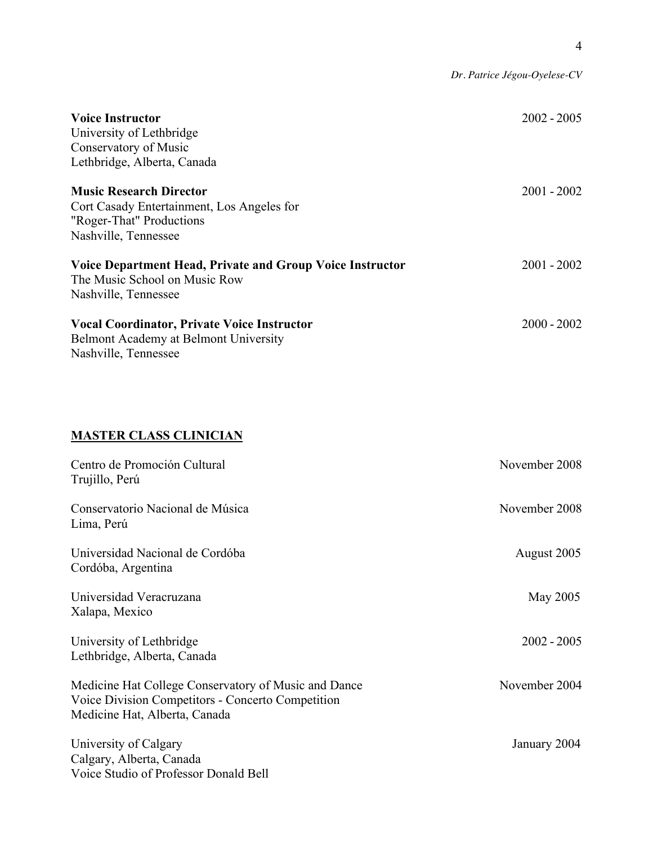|                                                                                                                                  | Dr. Patrice Jégou-Oyelese-CV |
|----------------------------------------------------------------------------------------------------------------------------------|------------------------------|
| <b>Voice Instructor</b><br>University of Lethbridge<br>Conservatory of Music<br>Lethbridge, Alberta, Canada                      | $2002 - 2005$                |
| <b>Music Research Director</b><br>Cort Casady Entertainment, Los Angeles for<br>"Roger-That" Productions<br>Nashville, Tennessee | $2001 - 2002$                |
| Voice Department Head, Private and Group Voice Instructor<br>The Music School on Music Row<br>Nashville, Tennessee               | $2001 - 2002$                |
| <b>Vocal Coordinator, Private Voice Instructor</b><br>Belmont Academy at Belmont University<br>Nashville, Tennessee              | $2000 - 2002$                |
| <b>MASTER CLASS CLINICIAN</b>                                                                                                    |                              |
| Centro de Promoción Cultural<br>Trujillo, Perú                                                                                   | November 2008                |
| Conservatorio Nacional de Música<br>Lima, Perú                                                                                   | November 2008                |
| Universidad Nacional de Cordóba<br>Cordóba, Argentina                                                                            | August 2005                  |
| Universidad Veracruzana<br>Xalapa, Mexico                                                                                        | May 2005                     |
| University of Lethbridge<br>Lethbridge, Alberta, Canada                                                                          | $2002 - 2005$                |
| Medicine Hat College Conservatory of Music and Dance                                                                             | November 2004                |

Voice Division Competitors - Concerto Competition Medicine Hat, Alberta, Canada

University of Calgary January 2004 Calgary, Alberta, Canada Voice Studio of Professor Donald Bell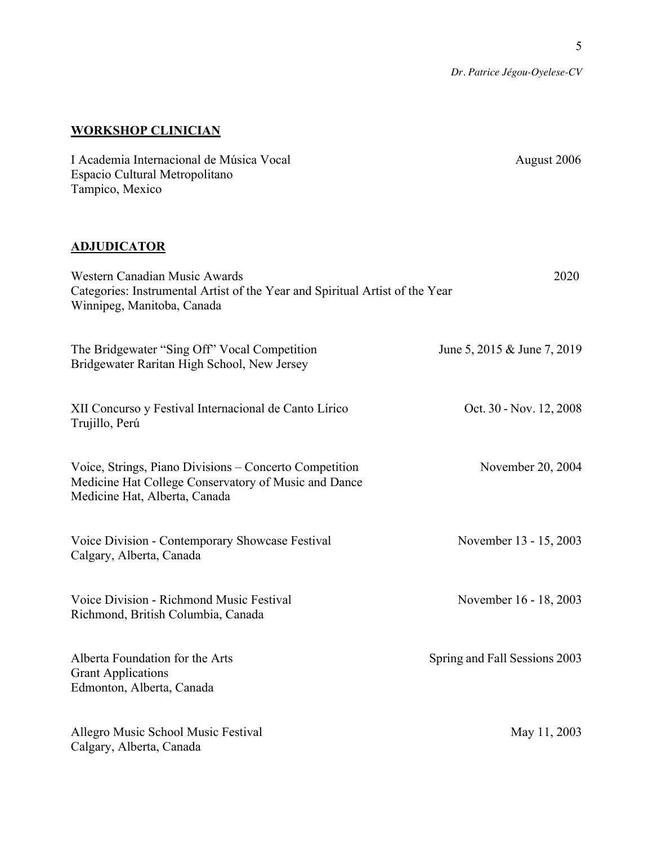5

*Dr. Patrice Jégou-Oyelese-CV*

## **WORKSHOP CLINICIAN**

| I Academia Internacional de Música Vocal<br>Espacio Cultural Metropolitano<br>Tampico, Mexico                                                   | August 2006                   |
|-------------------------------------------------------------------------------------------------------------------------------------------------|-------------------------------|
| <b>ADJUDICATOR</b>                                                                                                                              |                               |
| Western Canadian Music Awards<br>Categories: Instrumental Artist of the Year and Spiritual Artist of the Year<br>Winnipeg, Manitoba, Canada     | 2020                          |
| The Bridgewater "Sing Off" Vocal Competition<br>Bridgewater Raritan High School, New Jersey                                                     | June 5, 2015 & June 7, 2019   |
| XII Concurso y Festival Internacional de Canto Lírico<br>Trujillo, Perú                                                                         | Oct. 30 - Nov. 12, 2008       |
| Voice, Strings, Piano Divisions - Concerto Competition<br>Medicine Hat College Conservatory of Music and Dance<br>Medicine Hat, Alberta, Canada | November 20, 2004             |
| Voice Division - Contemporary Showcase Festival<br>Calgary, Alberta, Canada                                                                     | November 13 - 15, 2003        |
| Voice Division - Richmond Music Festival<br>Richmond, British Columbia, Canada                                                                  | November 16 - 18, 2003        |
| Alberta Foundation for the Arts<br><b>Grant Applications</b><br>Edmonton, Alberta, Canada                                                       | Spring and Fall Sessions 2003 |
| Allegro Music School Music Festival<br>Calgary, Alberta, Canada                                                                                 | May 11, 2003                  |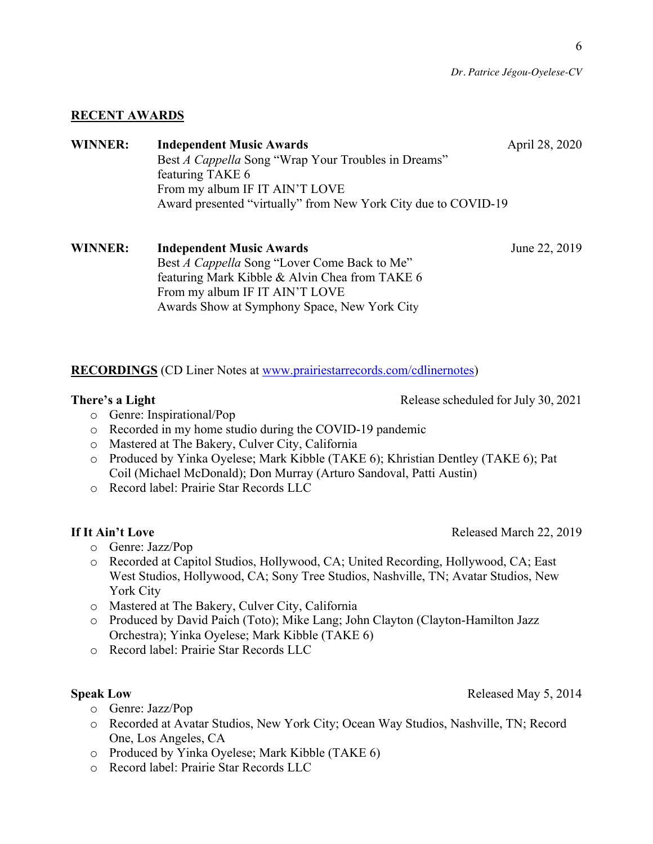### **RECENT AWARDS**

## **WINNER:** Independent Music Awards **April 28, 2020** Best *A Cappella* Song "Wrap Your Troubles in Dreams" featuring TAKE 6 From my album IF IT AIN'T LOVE Award presented "virtually" from New York City due to COVID-19

### **WINNER:** Independent Music Awards **June 22, 2019** Best *A Cappella* Song "Lover Come Back to Me" featuring Mark Kibble & Alvin Chea from TAKE 6 From my album IF IT AIN'T LOVE Awards Show at Symphony Space, New York City

**RECORDINGS** (CD Liner Notes at www.prairiestarrecords.com/cdlinernotes)

**There's a Light**  Release scheduled for July 30, 2021

- o Genre: Inspirational/Pop
- o Recorded in my home studio during the COVID-19 pandemic
- o Mastered at The Bakery, Culver City, California
- o Produced by Yinka Oyelese; Mark Kibble (TAKE 6); Khristian Dentley (TAKE 6); Pat Coil (Michael McDonald); Don Murray (Arturo Sandoval, Patti Austin)
- o Record label: Prairie Star Records LLC

- o Genre: Jazz/Pop
- o Recorded at Capitol Studios, Hollywood, CA; United Recording, Hollywood, CA; East West Studios, Hollywood, CA; Sony Tree Studios, Nashville, TN; Avatar Studios, New York City
- o Mastered at The Bakery, Culver City, California
- o Produced by David Paich (Toto); Mike Lang; John Clayton (Clayton-Hamilton Jazz Orchestra); Yinka Oyelese; Mark Kibble (TAKE 6)
- o Record label: Prairie Star Records LLC

- o Genre: Jazz/Pop
- o Recorded at Avatar Studios, New York City; Ocean Way Studios, Nashville, TN; Record One, Los Angeles, CA
- o Produced by Yinka Oyelese; Mark Kibble (TAKE 6)
- o Record label: Prairie Star Records LLC

**If** It Ain't Love Released March 22, 2019

**Speak Low** Released May 5, 2014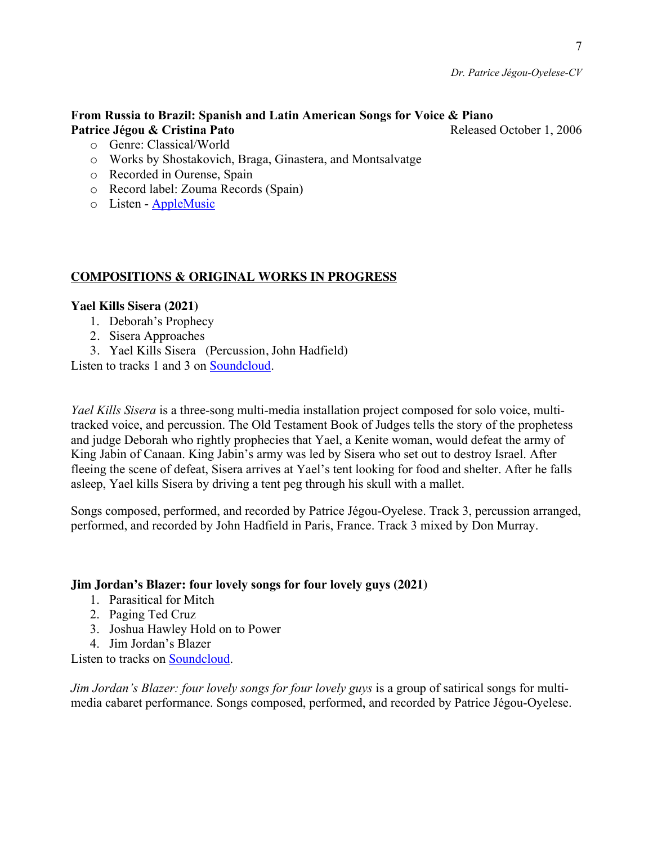### **From Russia to Brazil: Spanish and Latin American Songs for Voice & Piano Patrice Jégou & Cristina Pato Released October 1, 2006 Released October 1, 2006**

- o Genre: Classical/World
- o Works by Shostakovich, Braga, Ginastera, and Montsalvatge
- o Recorded in Ourense, Spain
- o Record label: Zouma Records (Spain)
- o Listen AppleMusic

### **COMPOSITIONS & ORIGINAL WORKS IN PROGRESS**

### **Yael Kills Sisera (2021)**

- 1. Deborah's Prophecy
- 2. Sisera Approaches
- 3. Yael Kills Sisera (Percussion, John Hadfield)

Listen to tracks 1 and 3 on Soundcloud.

*Yael Kills Sisera* is a three-song multi-media installation project composed for solo voice, multitracked voice, and percussion. The Old Testament Book of Judges tells the story of the prophetess and judge Deborah who rightly prophecies that Yael, a Kenite woman, would defeat the army of King Jabin of Canaan. King Jabin's army was led by Sisera who set out to destroy Israel. After fleeing the scene of defeat, Sisera arrives at Yael's tent looking for food and shelter. After he falls asleep, Yael kills Sisera by driving a tent peg through his skull with a mallet.

Songs composed, performed, and recorded by Patrice Jégou-Oyelese. Track 3, percussion arranged, performed, and recorded by John Hadfield in Paris, France. Track 3 mixed by Don Murray.

### **Jim Jordan's Blazer: four lovely songs for four lovely guys (2021)**

- 1. Parasitical for Mitch
- 2. Paging Ted Cruz
- 3. Joshua Hawley Hold on to Power
- 4. Jim Jordan's Blazer

Listen to tracks on Soundcloud.

*Jim Jordan's Blazer: four lovely songs for four lovely guys is a group of satirical songs for multi*media cabaret performance. Songs composed, performed, and recorded by Patrice Jégou-Oyelese.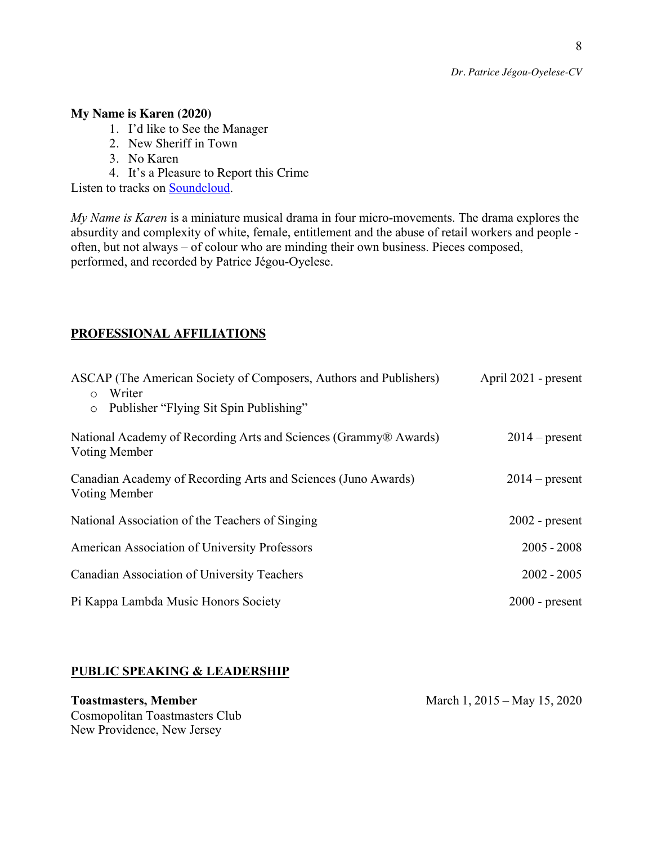*Dr. Patrice Jégou-Oyelese-CV*

### **My Name is Karen (2020)**

- 1. I'd like to See the Manager
- 2. New Sheriff in Town
- 3. No Karen
- 4. It's a Pleasure to Report this Crime

Listen to tracks on Soundcloud.

*My Name is Karen* is a miniature musical drama in four micro-movements. The drama explores the absurdity and complexity of white, female, entitlement and the abuse of retail workers and people often, but not always – of colour who are minding their own business. Pieces composed, performed, and recorded by Patrice Jégou-Oyelese.

### **PROFESSIONAL AFFILIATIONS**

| ASCAP (The American Society of Composers, Authors and Publishers)<br>April 2021 - present<br>o Writer |                  |  |
|-------------------------------------------------------------------------------------------------------|------------------|--|
| o Publisher "Flying Sit Spin Publishing"                                                              |                  |  |
| National Academy of Recording Arts and Sciences (Grammy® Awards)<br>Voting Member                     | $2014$ – present |  |
| Canadian Academy of Recording Arts and Sciences (Juno Awards)<br>Voting Member                        | $2014$ – present |  |
| National Association of the Teachers of Singing                                                       | $2002$ - present |  |
| American Association of University Professors                                                         | $2005 - 2008$    |  |
| Canadian Association of University Teachers                                                           | $2002 - 2005$    |  |
| Pi Kappa Lambda Music Honors Society                                                                  | $2000$ - present |  |

### **PUBLIC SPEAKING & LEADERSHIP**

# Cosmopolitan Toastmasters Club New Providence, New Jersey

**Toastmasters, Member** March 1, 2015 – May 15, 2020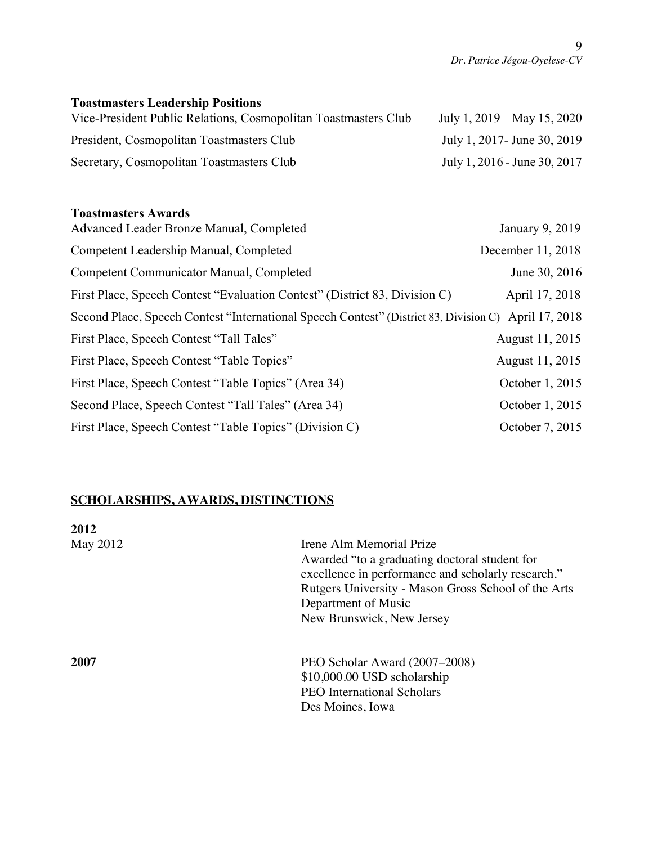# **Toastmasters Leadership Positions**

| Vice-President Public Relations, Cosmopolitan Toastmasters Club | July 1, $2019 - May 15$ , $2020$ |
|-----------------------------------------------------------------|----------------------------------|
| President, Cosmopolitan Toastmasters Club                       | July 1, 2017 - June 30, 2019     |
| Secretary, Cosmopolitan Toastmasters Club                       | July 1, 2016 - June 30, 2017     |

### **Toastmasters Awards**

| Advanced Leader Bronze Manual, Completed                                                             | January 9, 2019   |
|------------------------------------------------------------------------------------------------------|-------------------|
| Competent Leadership Manual, Completed                                                               | December 11, 2018 |
| Competent Communicator Manual, Completed                                                             | June 30, 2016     |
| First Place, Speech Contest "Evaluation Contest" (District 83, Division C)                           | April 17, 2018    |
| Second Place, Speech Contest "International Speech Contest" (District 83, Division C) April 17, 2018 |                   |
| First Place, Speech Contest "Tall Tales"                                                             | August 11, 2015   |
| First Place, Speech Contest "Table Topics"                                                           | August 11, 2015   |
| First Place, Speech Contest "Table Topics" (Area 34)                                                 | October 1, 2015   |
| Second Place, Speech Contest "Tall Tales" (Area 34)                                                  | October 1, 2015   |
| First Place, Speech Contest "Table Topics" (Division C)                                              | October 7, 2015   |

# **SCHOLARSHIPS, AWARDS, DISTINCTIONS**

| 2012     |                                                                                                                                                                                                                                            |
|----------|--------------------------------------------------------------------------------------------------------------------------------------------------------------------------------------------------------------------------------------------|
| May 2012 | Irene Alm Memorial Prize<br>Awarded "to a graduating doctoral student for<br>excellence in performance and scholarly research."<br>Rutgers University - Mason Gross School of the Arts<br>Department of Music<br>New Brunswick, New Jersey |
| 2007     | PEO Scholar Award (2007–2008)<br>\$10,000.00 USD scholarship<br><b>PEO</b> International Scholars<br>Des Moines, Iowa                                                                                                                      |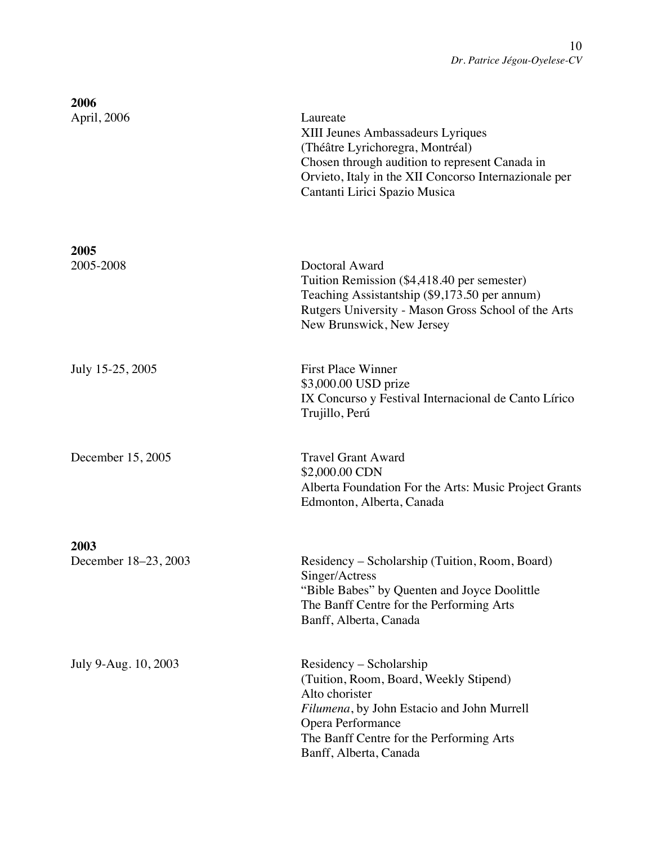| 2006<br>April, 2006          | Laureate<br>XIII Jeunes Ambassadeurs Lyriques<br>(Théâtre Lyrichoregra, Montréal)<br>Chosen through audition to represent Canada in<br>Orvieto, Italy in the XII Concorso Internazionale per<br>Cantanti Lirici Spazio Musica |
|------------------------------|-------------------------------------------------------------------------------------------------------------------------------------------------------------------------------------------------------------------------------|
| 2005<br>2005-2008            | Doctoral Award<br>Tuition Remission (\$4,418.40 per semester)<br>Teaching Assistantship (\$9,173.50 per annum)<br>Rutgers University - Mason Gross School of the Arts<br>New Brunswick, New Jersey                            |
| July 15-25, 2005             | <b>First Place Winner</b><br>\$3,000.00 USD prize<br>IX Concurso y Festival Internacional de Canto Lírico<br>Trujillo, Perú                                                                                                   |
| December 15, 2005            | <b>Travel Grant Award</b><br>\$2,000.00 CDN<br>Alberta Foundation For the Arts: Music Project Grants<br>Edmonton, Alberta, Canada                                                                                             |
|                              |                                                                                                                                                                                                                               |
| 2003<br>December 18-23, 2003 | Residency – Scholarship (Tuition, Room, Board)<br>Singer/Actress<br>"Bible Babes" by Quenten and Joyce Doolittle<br>The Banff Centre for the Performing Arts<br>Banff, Alberta, Canada                                        |
| July 9-Aug. 10, 2003         | Residency – Scholarship<br>(Tuition, Room, Board, Weekly Stipend)<br>Alto chorister<br>Filumena, by John Estacio and John Murrell<br>Opera Performance<br>The Banff Centre for the Performing Arts<br>Banff, Alberta, Canada  |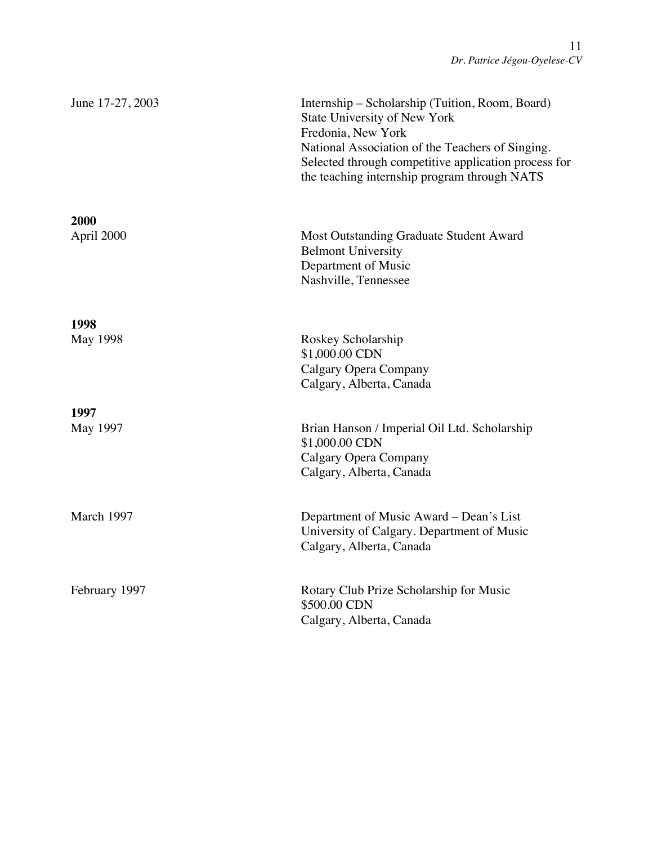| June 17-27, 2003   | Internship - Scholarship (Tuition, Room, Board)<br>State University of New York<br>Fredonia, New York<br>National Association of the Teachers of Singing.<br>Selected through competitive application process for<br>the teaching internship program through NATS |
|--------------------|-------------------------------------------------------------------------------------------------------------------------------------------------------------------------------------------------------------------------------------------------------------------|
| 2000<br>April 2000 | Most Outstanding Graduate Student Award<br><b>Belmont University</b><br>Department of Music<br>Nashville, Tennessee                                                                                                                                               |
| 1998<br>May 1998   | Roskey Scholarship<br>\$1,000.00 CDN<br>Calgary Opera Company<br>Calgary, Alberta, Canada                                                                                                                                                                         |
| 1997<br>May 1997   | Brian Hanson / Imperial Oil Ltd. Scholarship<br>\$1,000.00 CDN<br>Calgary Opera Company<br>Calgary, Alberta, Canada                                                                                                                                               |
| March 1997         | Department of Music Award – Dean's List<br>University of Calgary. Department of Music<br>Calgary, Alberta, Canada                                                                                                                                                 |
| February 1997      | Rotary Club Prize Scholarship for Music<br>\$500.00 CDN<br>Calgary, Alberta, Canada                                                                                                                                                                               |